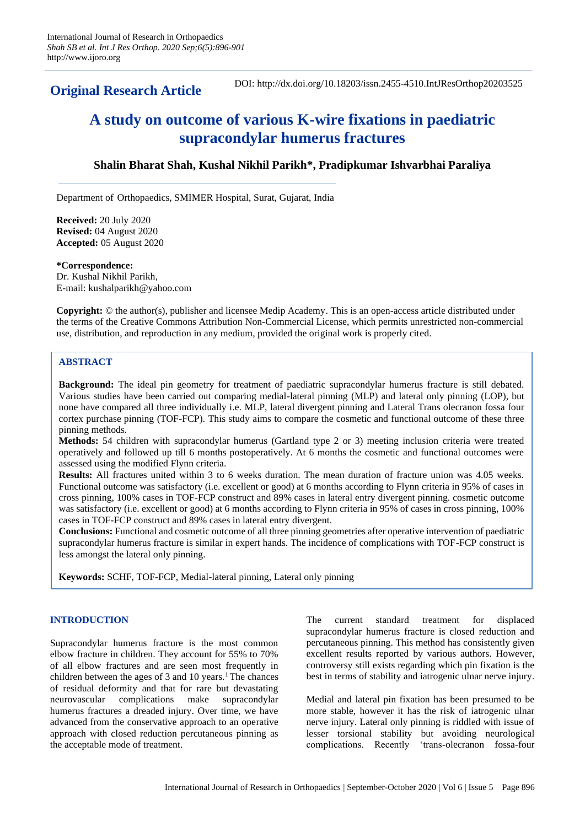**Original Research Article**

DOI: http://dx.doi.org/10.18203/issn.2455-4510.IntJResOrthop20203525

# **A study on outcome of various K-wire fixations in paediatric supracondylar humerus fractures**

# **Shalin Bharat Shah, Kushal Nikhil Parikh\*, Pradipkumar Ishvarbhai Paraliya**

Department of Orthopaedics, SMIMER Hospital, Surat, Gujarat, India

**Received:** 20 July 2020 **Revised:** 04 August 2020 **Accepted:** 05 August 2020

**\*Correspondence:** Dr. Kushal Nikhil Parikh, E-mail: kushalparikh@yahoo.com

**Copyright:** © the author(s), publisher and licensee Medip Academy. This is an open-access article distributed under the terms of the Creative Commons Attribution Non-Commercial License, which permits unrestricted non-commercial use, distribution, and reproduction in any medium, provided the original work is properly cited.

# **ABSTRACT**

**Background:** The ideal pin geometry for treatment of paediatric supracondylar humerus fracture is still debated. Various studies have been carried out comparing medial-lateral pinning (MLP) and lateral only pinning (LOP), but none have compared all three individually i.e. MLP, lateral divergent pinning and Lateral Trans olecranon fossa four cortex purchase pinning (TOF-FCP). This study aims to compare the cosmetic and functional outcome of these three pinning methods.

**Methods:** 54 children with supracondylar humerus (Gartland type 2 or 3) meeting inclusion criteria were treated operatively and followed up till 6 months postoperatively. At 6 months the cosmetic and functional outcomes were assessed using the modified Flynn criteria.

**Results:** All fractures united within 3 to 6 weeks duration. The mean duration of fracture union was 4.05 weeks. Functional outcome was satisfactory (i.e. excellent or good) at 6 months according to Flynn criteria in 95% of cases in cross pinning, 100% cases in TOF-FCP construct and 89% cases in lateral entry divergent pinning. cosmetic outcome was satisfactory (i.e. excellent or good) at 6 months according to Flynn criteria in 95% of cases in cross pinning, 100% cases in TOF-FCP construct and 89% cases in lateral entry divergent.

**Conclusions:** Functional and cosmetic outcome of all three pinning geometries after operative intervention of paediatric supracondylar humerus fracture is similar in expert hands. The incidence of complications with TOF-FCP construct is less amongst the lateral only pinning.

**Keywords:** SCHF, TOF-FCP, Medial-lateral pinning, Lateral only pinning

# **INTRODUCTION**

Supracondylar humerus fracture is the most common elbow fracture in children. They account for 55% to 70% of all elbow fractures and are seen most frequently in children between the ages of 3 and 10 years.<sup>1</sup> The chances of residual deformity and that for rare but devastating neurovascular complications make supracondylar humerus fractures a dreaded injury. Over time, we have advanced from the conservative approach to an operative approach with closed reduction percutaneous pinning as the acceptable mode of treatment.

The current standard treatment for displaced supracondylar humerus fracture is closed reduction and percutaneous pinning. This method has consistently given excellent results reported by various authors. However, controversy still exists regarding which pin fixation is the best in terms of stability and iatrogenic ulnar nerve injury.

Medial and lateral pin fixation has been presumed to be more stable, however it has the risk of iatrogenic ulnar nerve injury. Lateral only pinning is riddled with issue of lesser torsional stability but avoiding neurological complications. Recently 'trans-olecranon fossa-four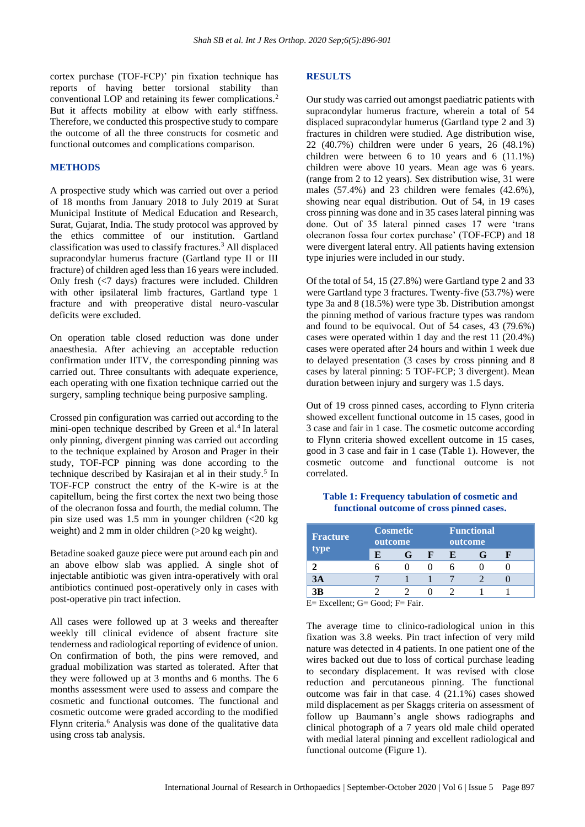cortex purchase (TOF-FCP)' pin fixation technique has reports of having better torsional stability than conventional LOP and retaining its fewer complications.<sup>2</sup> But it affects mobility at elbow with early stiffness. Therefore, we conducted this prospective study to compare the outcome of all the three constructs for cosmetic and functional outcomes and complications comparison.

#### **METHODS**

A prospective study which was carried out over a period of 18 months from January 2018 to July 2019 at Surat Municipal Institute of Medical Education and Research, Surat, Gujarat, India. The study protocol was approved by the ethics committee of our institution. Gartland classification was used to classify fractures.<sup>3</sup> All displaced supracondylar humerus fracture (Gartland type II or III fracture) of children aged less than 16 years were included. Only fresh (<7 days) fractures were included. Children with other ipsilateral limb fractures, Gartland type 1 fracture and with preoperative distal neuro-vascular deficits were excluded.

On operation table closed reduction was done under anaesthesia. After achieving an acceptable reduction confirmation under IITV, the corresponding pinning was carried out. Three consultants with adequate experience, each operating with one fixation technique carried out the surgery, sampling technique being purposive sampling.

Crossed pin configuration was carried out according to the mini-open technique described by Green et al.<sup>4</sup> In lateral only pinning, divergent pinning was carried out according to the technique explained by Aroson and Prager in their study, TOF-FCP pinning was done according to the technique described by Kasirajan et al in their study.<sup>5</sup> In TOF-FCP construct the entry of the K-wire is at the capitellum, being the first cortex the next two being those of the olecranon fossa and fourth, the medial column. The pin size used was 1.5 mm in younger children (<20 kg weight) and 2 mm in older children (>20 kg weight).

Betadine soaked gauze piece were put around each pin and an above elbow slab was applied. A single shot of injectable antibiotic was given intra-operatively with oral antibiotics continued post-operatively only in cases with post-operative pin tract infection.

All cases were followed up at 3 weeks and thereafter weekly till clinical evidence of absent fracture site tenderness and radiological reporting of evidence of union. On confirmation of both, the pins were removed, and gradual mobilization was started as tolerated. After that they were followed up at 3 months and 6 months. The 6 months assessment were used to assess and compare the cosmetic and functional outcomes. The functional and cosmetic outcome were graded according to the modified Flynn criteria.<sup>6</sup> Analysis was done of the qualitative data using cross tab analysis.

#### **RESULTS**

Our study was carried out amongst paediatric patients with supracondylar humerus fracture, wherein a total of 54 displaced supracondylar humerus (Gartland type 2 and 3) fractures in children were studied. Age distribution wise, 22 (40.7%) children were under 6 years, 26 (48.1%) children were between 6 to 10 years and 6 (11.1%) children were above 10 years. Mean age was 6 years. (range from 2 to 12 years). Sex distribution wise, 31 were males (57.4%) and 23 children were females (42.6%), showing near equal distribution. Out of 54, in 19 cases cross pinning was done and in 35 cases lateral pinning was done. Out of 35 lateral pinned cases 17 were 'trans olecranon fossa four cortex purchase' (TOF-FCP) and 18 were divergent lateral entry. All patients having extension type injuries were included in our study.

Of the total of 54, 15 (27.8%) were Gartland type 2 and 33 were Gartland type 3 fractures. Twenty-five (53.7%) were type 3a and 8 (18.5%) were type 3b. Distribution amongst the pinning method of various fracture types was random and found to be equivocal. Out of 54 cases, 43 (79.6%) cases were operated within 1 day and the rest 11 (20.4%) cases were operated after 24 hours and within 1 week due to delayed presentation (3 cases by cross pinning and 8 cases by lateral pinning: 5 TOF-FCP; 3 divergent). Mean duration between injury and surgery was 1.5 days.

Out of 19 cross pinned cases, according to Flynn criteria showed excellent functional outcome in 15 cases, good in 3 case and fair in 1 case. The cosmetic outcome according to Flynn criteria showed excellent outcome in 15 cases, good in 3 case and fair in 1 case (Table 1). However, the cosmetic outcome and functional outcome is not correlated.

| Fracture<br>type | <b>Cosmetic</b><br>outcome |  |   |    | <b>Functional</b><br>outcome |  |  |
|------------------|----------------------------|--|---|----|------------------------------|--|--|
|                  | F.                         |  | н | Н. |                              |  |  |
|                  |                            |  |   |    |                              |  |  |
| 3A               |                            |  |   |    |                              |  |  |
| 3B               |                            |  |   |    |                              |  |  |

**Table 1: Frequency tabulation of cosmetic and functional outcome of cross pinned cases.**

E= Excellent; G= Good; F= Fair.

The average time to clinico-radiological union in this fixation was 3.8 weeks. Pin tract infection of very mild nature was detected in 4 patients. In one patient one of the wires backed out due to loss of cortical purchase leading to secondary displacement. It was revised with close reduction and percutaneous pinning. The functional outcome was fair in that case. 4 (21.1%) cases showed mild displacement as per Skaggs criteria on assessment of follow up Baumann's angle shows radiographs and clinical photograph of a 7 years old male child operated with medial lateral pinning and excellent radiological and functional outcome (Figure 1).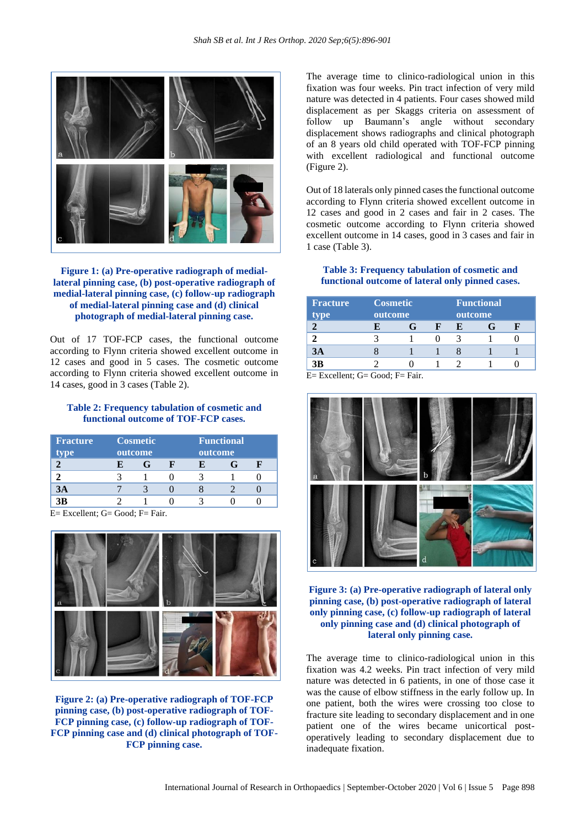

# **Figure 1: (a) Pre-operative radiograph of mediallateral pinning case, (b) post-operative radiograph of medial-lateral pinning case, (c) follow-up radiograph of medial-lateral pinning case and (d) clinical photograph of medial-lateral pinning case.**

Out of 17 TOF-FCP cases, the functional outcome according to Flynn criteria showed excellent outcome in 12 cases and good in 5 cases. The cosmetic outcome according to Flynn criteria showed excellent outcome in 14 cases, good in 3 cases (Table 2).

#### **Table 2: Frequency tabulation of cosmetic and functional outcome of TOF-FCP cases.**

| <b>Fracture</b><br>type | <b>Cosmetic</b><br>outcome |  |  | <b>Functional</b><br>outcome |  |  |  |
|-------------------------|----------------------------|--|--|------------------------------|--|--|--|
|                         |                            |  |  |                              |  |  |  |
|                         |                            |  |  |                              |  |  |  |
| 3Α                      |                            |  |  |                              |  |  |  |
| 3R                      |                            |  |  |                              |  |  |  |

 $E=$  Excellent; G= Good; F= Fair.



**Figure 2: (a) Pre-operative radiograph of TOF-FCP pinning case, (b) post-operative radiograph of TOF-FCP pinning case, (c) follow-up radiograph of TOF-FCP pinning case and (d) clinical photograph of TOF-FCP pinning case.**

The average time to clinico-radiological union in this fixation was four weeks. Pin tract infection of very mild nature was detected in 4 patients. Four cases showed mild displacement as per Skaggs criteria on assessment of follow up Baumann's angle without secondary displacement shows radiographs and clinical photograph of an 8 years old child operated with TOF-FCP pinning with excellent radiological and functional outcome (Figure 2).

Out of 18 laterals only pinned cases the functional outcome according to Flynn criteria showed excellent outcome in 12 cases and good in 2 cases and fair in 2 cases. The cosmetic outcome according to Flynn criteria showed excellent outcome in 14 cases, good in 3 cases and fair in 1 case (Table 3).

#### **Table 3: Frequency tabulation of cosmetic and functional outcome of lateral only pinned cases.**

| <b>Fracture</b><br>type | <b>Cosmetic</b><br>outcome |  |  |   | <b>Functional</b><br>outcome |  |  |  |
|-------------------------|----------------------------|--|--|---|------------------------------|--|--|--|
| ി                       |                            |  |  | Ю |                              |  |  |  |
|                         |                            |  |  |   |                              |  |  |  |
| 3A                      |                            |  |  |   |                              |  |  |  |
| 3B                      |                            |  |  |   |                              |  |  |  |

E= Excellent; G= Good; F= Fair.



## **Figure 3: (a) Pre-operative radiograph of lateral only pinning case, (b) post-operative radiograph of lateral only pinning case, (c) follow-up radiograph of lateral only pinning case and (d) clinical photograph of lateral only pinning case.**

The average time to clinico-radiological union in this fixation was 4.2 weeks. Pin tract infection of very mild nature was detected in 6 patients, in one of those case it was the cause of elbow stiffness in the early follow up. In one patient, both the wires were crossing too close to fracture site leading to secondary displacement and in one patient one of the wires became unicortical postoperatively leading to secondary displacement due to inadequate fixation.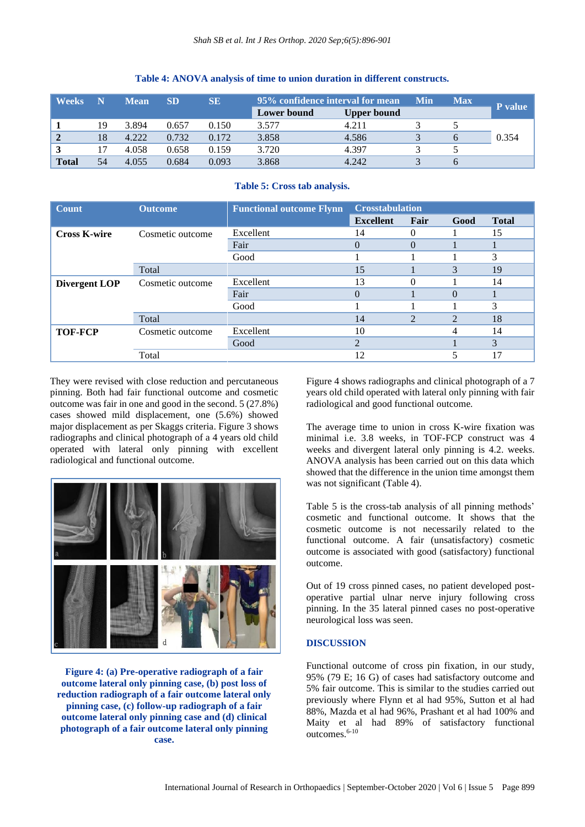| <b>Weeks</b> | N  | <b>Mean</b> | <b>SD</b> | SЕ    | 95% confidence interval for mean |                    | Min | <b>Max</b> | P value |
|--------------|----|-------------|-----------|-------|----------------------------------|--------------------|-----|------------|---------|
|              |    |             |           |       | Lower bound                      | <b>Upper bound</b> |     |            |         |
|              | 19 | 3.894       | 0.657     | 0.150 | 3.577                            | 4.211              |     |            |         |
|              | 18 | 4.222       | 0.732     | 0.172 | 3.858                            | 4.586              |     |            | 0.354   |
|              |    | 4.058       | 0.658     | 0.159 | 3.720                            | 4.397              |     |            |         |
| <b>Total</b> | 54 | 4.055       | 0.684     | 0.093 | 3.868                            | 4.242              |     |            |         |

#### **Table 4: ANOVA analysis of time to union duration in different constructs.**

## **Table 5: Cross tab analysis.**

| <b>Count</b>        | <b>Outcome</b>   | <b>Functional outcome Flynn</b> | <b>Crosstabulation</b> |                |                |              |  |
|---------------------|------------------|---------------------------------|------------------------|----------------|----------------|--------------|--|
|                     |                  |                                 | <b>Excellent</b>       | Fair           | Good           | <b>Total</b> |  |
| <b>Cross K-wire</b> | Cosmetic outcome | Excellent                       | 14                     | 0              |                | 15           |  |
|                     |                  | Fair                            | $\Omega$               | $\Omega$       |                |              |  |
|                     |                  | Good                            |                        |                |                | 3            |  |
|                     | Total            |                                 | 15                     |                | 3              | 19           |  |
| Divergent LOP       | Cosmetic outcome | Excellent                       | 13                     |                |                | 14           |  |
|                     |                  | Fair                            | $\theta$               |                | $\Omega$       |              |  |
|                     |                  | Good                            |                        |                |                | 3            |  |
|                     | Total            |                                 | 14                     | $\overline{2}$ | $\overline{2}$ | 18           |  |
| <b>TOF-FCP</b>      | Cosmetic outcome | Excellent                       | 10                     |                | 4              | 14           |  |
|                     |                  | Good                            | $\mathfrak{D}$         |                |                | 3            |  |
|                     | Total            |                                 | 12                     |                | 5              | 17           |  |

They were revised with close reduction and percutaneous pinning. Both had fair functional outcome and cosmetic outcome was fair in one and good in the second. 5 (27.8%) cases showed mild displacement, one (5.6%) showed major displacement as per Skaggs criteria. Figure 3 shows radiographs and clinical photograph of a 4 years old child operated with lateral only pinning with excellent radiological and functional outcome.



**Figure 4: (a) Pre-operative radiograph of a fair outcome lateral only pinning case, (b) post loss of reduction radiograph of a fair outcome lateral only pinning case, (c) follow-up radiograph of a fair outcome lateral only pinning case and (d) clinical photograph of a fair outcome lateral only pinning case.**

Figure 4 shows radiographs and clinical photograph of a 7 years old child operated with lateral only pinning with fair radiological and good functional outcome.

The average time to union in cross K-wire fixation was minimal i.e. 3.8 weeks, in TOF-FCP construct was 4 weeks and divergent lateral only pinning is 4.2. weeks. ANOVA analysis has been carried out on this data which showed that the difference in the union time amongst them was not significant (Table 4).

Table 5 is the cross-tab analysis of all pinning methods' cosmetic and functional outcome. It shows that the cosmetic outcome is not necessarily related to the functional outcome. A fair (unsatisfactory) cosmetic outcome is associated with good (satisfactory) functional outcome.

Out of 19 cross pinned cases, no patient developed postoperative partial ulnar nerve injury following cross pinning. In the 35 lateral pinned cases no post-operative neurological loss was seen.

# **DISCUSSION**

Functional outcome of cross pin fixation, in our study, 95% (79 E; 16 G) of cases had satisfactory outcome and 5% fair outcome. This is similar to the studies carried out previously where Flynn et al had 95%, Sutton et al had 88%, Mazda et al had 96%, Prashant et al had 100% and Maity et al had 89% of satisfactory functional outcomes.6-10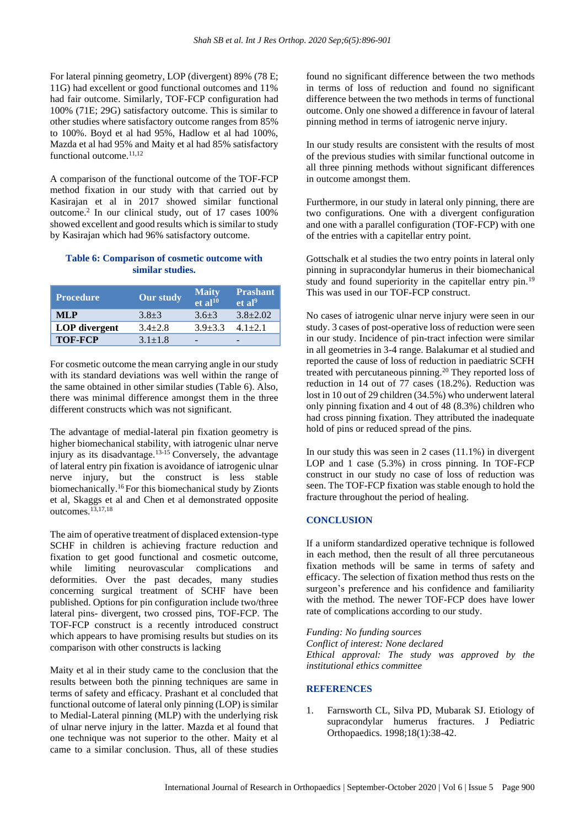For lateral pinning geometry, LOP (divergent) 89% (78 E; 11G) had excellent or good functional outcomes and 11% had fair outcome. Similarly, TOF-FCP configuration had 100% (71E; 29G) satisfactory outcome. This is similar to other studies where satisfactory outcome ranges from 85% to 100%. Boyd et al had 95%, Hadlow et al had 100%, Mazda et al had 95% and Maity et al had 85% satisfactory functional outcome.<sup>11,12</sup>

A comparison of the functional outcome of the TOF-FCP method fixation in our study with that carried out by Kasirajan et al in 2017 showed similar functional outcome.<sup>2</sup> In our clinical study, out of 17 cases 100% showed excellent and good results which is similar to study by Kasirajan which had 96% satisfactory outcome.

# **Table 6: Comparison of cosmetic outcome with similar studies.**

| <b>Procedure</b> | Our study   | <b>Maity</b><br>et al <sup>10</sup> | <b>Prashant</b><br>et al <sup>9</sup> |
|------------------|-------------|-------------------------------------|---------------------------------------|
| MLP              | $3.8 + 3$   | $3.6 + 3$                           | $3.8 + 2.02$                          |
| LOP divergent    | $3.4 + 2.8$ | $3.9 + 3.3$                         | $4.1 + 2.1$                           |
| <b>TOF-FCP</b>   | $3.1 + 1.8$ |                                     |                                       |

For cosmetic outcome the mean carrying angle in our study with its standard deviations was well within the range of the same obtained in other similar studies (Table 6). Also, there was minimal difference amongst them in the three different constructs which was not significant.

The advantage of medial-lateral pin fixation geometry is higher biomechanical stability, with iatrogenic ulnar nerve injury as its disadvantage.<sup>13-15</sup> Conversely, the advantage of lateral entry pin fixation is avoidance of iatrogenic ulnar nerve injury, but the construct is less stable biomechanically.<sup>16</sup> For this biomechanical study by Zionts et al, Skaggs et al and Chen et al demonstrated opposite outcomes.13,17,18

The aim of operative treatment of displaced extension-type SCHF in children is achieving fracture reduction and fixation to get good functional and cosmetic outcome, while limiting neurovascular complications and deformities. Over the past decades, many studies concerning surgical treatment of SCHF have been published. Options for pin configuration include two/three lateral pins- divergent, two crossed pins, TOF-FCP. The TOF-FCP construct is a recently introduced construct which appears to have promising results but studies on its comparison with other constructs is lacking

Maity et al in their study came to the conclusion that the results between both the pinning techniques are same in terms of safety and efficacy. Prashant et al concluded that functional outcome of lateral only pinning (LOP) is similar to Medial-Lateral pinning (MLP) with the underlying risk of ulnar nerve injury in the latter. Mazda et al found that one technique was not superior to the other. Maity et al came to a similar conclusion. Thus, all of these studies

found no significant difference between the two methods in terms of loss of reduction and found no significant difference between the two methods in terms of functional outcome. Only one showed a difference in favour of lateral pinning method in terms of iatrogenic nerve injury.

In our study results are consistent with the results of most of the previous studies with similar functional outcome in all three pinning methods without significant differences in outcome amongst them.

Furthermore, in our study in lateral only pinning, there are two configurations. One with a divergent configuration and one with a parallel configuration (TOF-FCP) with one of the entries with a capitellar entry point.

Gottschalk et al studies the two entry points in lateral only pinning in supracondylar humerus in their biomechanical study and found superiority in the capitellar entry pin.<sup>19</sup> This was used in our TOF-FCP construct.

No cases of iatrogenic ulnar nerve injury were seen in our study. 3 cases of post-operative loss of reduction were seen in our study. Incidence of pin-tract infection were similar in all geometries in 3-4 range. Balakumar et al studied and reported the cause of loss of reduction in paediatric SCFH treated with percutaneous pinning.<sup>20</sup> They reported loss of reduction in 14 out of 77 cases (18.2%). Reduction was lost in 10 out of 29 children (34.5%) who underwent lateral only pinning fixation and 4 out of 48 (8.3%) children who had cross pinning fixation. They attributed the inadequate hold of pins or reduced spread of the pins.

In our study this was seen in 2 cases (11.1%) in divergent LOP and 1 case (5.3%) in cross pinning. In TOF-FCP construct in our study no case of loss of reduction was seen. The TOF-FCP fixation was stable enough to hold the fracture throughout the period of healing.

# **CONCLUSION**

If a uniform standardized operative technique is followed in each method, then the result of all three percutaneous fixation methods will be same in terms of safety and efficacy. The selection of fixation method thus rests on the surgeon's preference and his confidence and familiarity with the method. The newer TOF-FCP does have lower rate of complications according to our study.

*Funding: No funding sources Conflict of interest: None declared Ethical approval: The study was approved by the institutional ethics committee*

#### **REFERENCES**

1. Farnsworth CL, Silva PD, Mubarak SJ. Etiology of supracondylar humerus fractures. J Pediatric Orthopaedics. 1998;18(1):38-42.